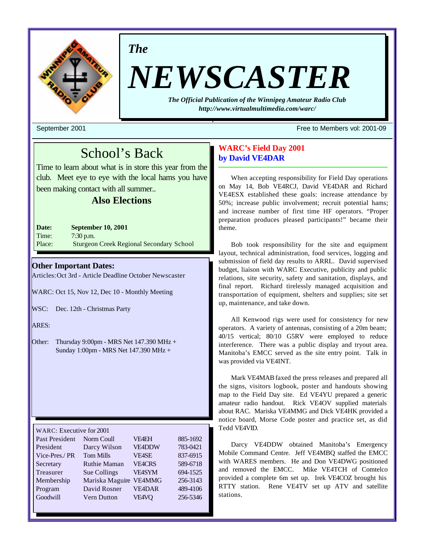

# *The*

# *NEWSCASTER*

*The Official Publication of the Winnipeg Amateur Radio Club http://www.virtualmultimedia.com/warc/*

September 2001 Free to Members vol: 2001-09

# School's Back

Time to learn about what is in store this year from the club. Meet eye to eye with the local hams you have been making contact with all summer..

# **Also Elections**

**Date: September 10, 2001** Time: 7:30 p.m. Place: Sturgeon Creek Regional Secondary School

# **Other Important Dates:**

Articles: Oct 3rd - Article Deadline October Newscaster

WARC: Oct 15, Nov 12, Dec 10 - Monthly Meeting

WSC: Dec. 12th - Christmas Party

ARES:

Other: Thursday  $9:00 \text{pm}$  - MRS Net 147.390 MHz + Sunday 1:00pm - MRS Net 147.390 MHz +

| WARC: Executive for 2001 |                     |               |          |  |  |  |
|--------------------------|---------------------|---------------|----------|--|--|--|
|                          |                     |               |          |  |  |  |
| Past President           | Norm Coull          | <b>VF4EH</b>  | 885-1692 |  |  |  |
| President                | Darcy Wilson        | <b>VE4DDW</b> | 783-0421 |  |  |  |
| Vice-Pres./PR            | <b>Tom Mills</b>    | <b>VE4SE</b>  | 837-6915 |  |  |  |
| Secretary                | <b>Ruthie Maman</b> | <b>VEACRS</b> | 589-6718 |  |  |  |
| <b>Treasurer</b>         | Sue Collings        | <b>VFASYM</b> | 694-1525 |  |  |  |
| Membership               | Mariska Maguire     | <b>VE4MMG</b> | 256-3143 |  |  |  |
| Program                  | David Rosner        | <b>VE4DAR</b> | 489-4106 |  |  |  |
| Goodwill                 | <b>Vern Dutton</b>  | VE4VQ         | 256-5346 |  |  |  |
|                          |                     |               |          |  |  |  |

# **WARC's Field Day 2001 by David VE4DAR**

When accepting responsibility for Field Day operations on May 14, Bob VE4RCJ, David VE4DAR and Richard VE4ESX established these goals: increase attendance by 50%; increase public involvement; recruit potential hams; and increase number of first time HF operators. "Proper preparation produces pleased participants!" became their theme.

Bob took responsibility for the site and equipment layout, technical administration, food services, logging and submission of field day results to ARRL. David supervised budget, liaison with WARC Executive, publicity and public relations, site security, safety and sanitation, displays, and final report. Richard tirelessly managed acquisition and transportation of equipment, shelters and supplies; site set up, maintenance, and take down.

All Kenwood rigs were used for consistency for new operators. A variety of antennas, consisting of a 20m beam; 40/15 vertical; 80/10 G5RV were employed to reduce interference. There was a public display and tryout area. Manitoba's EMCC served as the site entry point. Talk in was provided via VE4INT.

Mark VE4MAB faxed the press releases and prepared all the signs, visitors logbook, poster and handouts showing map to the Field Day site. Ed VE4YU prepared a generic amateur radio handout. Rick VE4OV supplied materials about RAC. Mariska VE4MMG and Dick VE4HK provided a notice board, Morse Code poster and practice set, as did Tedd VE4VID.

Darcy VE4DDW obtained Manitoba's Emergency Mobile Command Centre. Jeff VE4MBQ staffed the EMCC with WARES members. He and Don VE4DWG positioned and removed the EMCC. Mike VE4TCH of Comtelco provided a complete 6m set up. Irek VE4COZ brought his RTTY station. Rene VE4TV set up ATV and satellite stations.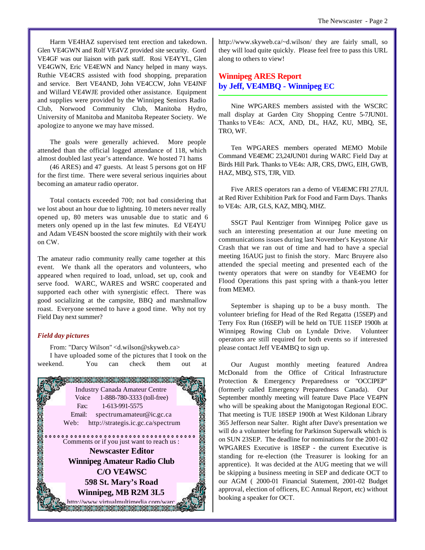Harm VE4HAZ supervised tent erection and takedown. Glen VE4GWN and Rolf VE4VZ provided site security. Gord VE4GF was our liaison with park staff. Rosi VE4YYL, Glen VE4GWN, Eric VE4EWN and Nancy helped in many ways. Ruthie VE4CRS assisted with food shopping, preparation and service. Bert VE4AND, John VE4CCW, John VE4JNF and Willard VE4WJE provided other assistance. Equipment and supplies were provided by the Winnipeg Seniors Radio Club, Norwood Community Club, Manitoba Hydro, University of Manitoba and Manitoba Repeater Society. We apologize to anyone we may have missed.

The goals were generally achieved. More people attended than the official logged attendance of 118, which almost doubled last year's attendance. We hosted 71 hams

(46 ARES) and 47 guests. At least 5 persons got on HF for the first time. There were several serious inquiries about becoming an amateur radio operator.

Total contacts exceeded 700; not bad considering that we lost about an hour due to lightning. 10 meters never really opened up, 80 meters was unusable due to static and 6 meters only opened up in the last few minutes. Ed VE4YU and Adam VE4SN boosted the score mightily with their work on CW.

The amateur radio community really came together at this event. We thank all the operators and volunteers, who appeared when required to load, unload, set up, cook and serve food. WARC, WARES and WSRC cooperated and supported each other with synergistic effect. There was good socializing at the campsite, BBQ and marshmallow roast. Everyone seemed to have a good time. Why not try Field Day next summer?

# *Field day pictures*

From: "Darcy Wilson" <d.wilson@skyweb.ca> I have uploaded some of the pictures that I took on the



http://www.skyweb.ca/~d.wilson/ they are fairly small, so they will load quite quickly. Please feel free to pass this URL along to others to view!

# **Winnipeg ARES Report by Jeff, VE4MBQ - Winnipeg EC**

Nine WPGARES members assisted with the WSCRC mall display at Garden City Shopping Centre 5-7JUN01. Thanks to VE4s: ACX, AND, DL, HAZ, KU, MBQ, SE, TRO, WF.

Ten WPGARES members operated MEMO Mobile Command VE4EMC 23,24JUN01 during WARC Field Day at Birds Hill Park. Thanks to VE4s: AJR, CRS, DWG, EIH, GWB, HAZ, MBQ, STS, TJR, VID.

Five ARES operators ran a demo of VE4EMC FRI 27JUL at Red River Exhibition Park for Food and Farm Days. Thanks to VE4s: AJR, GLS, KAZ, MBQ, MHZ.

SSGT Paul Kentziger from Winnipeg Police gave us such an interesting presentation at our June meeting on communications issues during last November's Keystone Air Crash that we ran out of time and had to have a special meeting 16AUG just to finish the story. Marc Bruyere also attended the special meeting and presented each of the twenty operators that were on standby for VE4EMO for Flood Operations this past spring with a thank-you letter from MEMO.

September is shaping up to be a busy month. The volunteer briefing for Head of the Red Regatta (15SEP) and Terry Fox Run (16SEP) will be held on TUE 11SEP 1900h at Winnipeg Rowing Club on Lyndale Drive. Volunteer operators are still required for both events so if interested please contact Jeff VE4MBQ to sign up.

Our August monthly meeting featured Andrea McDonald from the Office of Critical Infrastructure Protection & Emergency Preparedness or "OCCIPEP" (formerly called Emergency Preparedness Canada). Our September monthly meeting will feature Dave Place VE4PN who will be speaking about the Manigotogan Regional EOC. That meeting is TUE 18SEP 1900h at West Kildonan Library 365 Jefferson near Salter. Right after Dave's presentation we will do a volunteer briefing for Parkinson Superwalk which is on SUN 23SEP. The deadline for nominations for the 2001-02 WPGARES Executive is 18SEP - the current Executive is standing for re-election (the Treasurer is looking for an apprentice). It was decided at the AUG meeting that we will be skipping a business meeting in SEP and dedicate OCT to our AGM ( 2000-01 Financial Statement, 2001-02 Budget approval, election of officers, EC Annual Report, etc) without booking a speaker for OCT.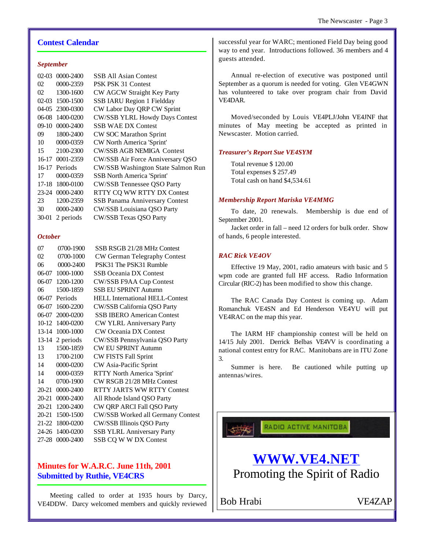# **Contest Calendar**

#### *September*

| $02-03$ | $0000 - 2400$   | <b>SSB All Asian Contest</b>          |
|---------|-----------------|---------------------------------------|
| 02      | 0000-2359       | PSK PSK 31 Contest                    |
| 02      | 1300-1600       | CW AGCW Straight Key Party            |
| $02-03$ | 1500-1500       | SSB IARU Region 1 Fieldday            |
| $04-05$ | 2300-0300       | CW Labor Day QRP CW Sprint            |
| 06-08   | 1400-0200       | <b>CW/SSB YLRL Howdy Days Contest</b> |
| $09-10$ | 0000-2400       | <b>SSB WAE DX Contest</b>             |
| 09      | 1800-2400       | <b>CW SOC Marathon Sprint</b>         |
| 10      | 0000-0359       | CW North America 'Sprint'             |
| 15      | 2100-2300       | <b>CW/SSB AGB NEMIGA Contest</b>      |
|         | 16-17 0001-2359 | CW/SSB Air Force Anniversary QSO      |
|         | 16-17 Periods   | CW/SSB Washington State Salmon Run    |
| 17      | 0000-0359       | <b>SSB</b> North America 'Sprint'     |
| 17-18   | 1800-0100       | CW/SSB Tennessee QSO Party            |
|         | 23-24 0000-2400 | RTTY CQ WW RTTY DX Contest            |
| 23      | 1200-2359       | SSB Panama Anniversary Contest        |
| 30      | 0000-2400       | CW/SSB Louisiana QSO Party            |
| 30-01   | 2 periods       | CW/SSB Texas QSO Party                |
|         |                 |                                       |

# *October*

| 07        | 0700-1900         | SSB RSGB 21/28 MHz Contest             |
|-----------|-------------------|----------------------------------------|
| 02        | 0700-1000         | CW German Telegraphy Contest           |
| 06        | 0000-2400         | PSK31 The PSK31 Rumble                 |
| 06-07     | 1000-1000         | <b>SSB Oceania DX Contest</b>          |
|           | 06-07 1200-1200   | CW/SSB F9AA Cup Contest                |
| 06        | 1500-1859         | <b>SSB EU SPRINT Autumn</b>            |
|           | 06-07 Periods     | <b>HELL International HELL-Contest</b> |
| 06-07     | 1600-2200         | CW/SSB California QSO Party            |
| 06-07     | 2000-0200         | <b>SSB IBERO American Contest</b>      |
|           | 10-12 1400-0200   | CW YLRL Anniversary Party              |
|           | 13-14 1000-1000   | <b>CW Oceania DX Contest</b>           |
|           | $13-14$ 2 periods | CW/SSB Pennsylvania QSO Party          |
| 13        | 1500-1859         | <b>CW EU SPRINT Autumn</b>             |
| 13        | 1700-2100         | <b>CW FISTS Fall Sprint</b>            |
| 14        | 0000-0200         | CW Asia-Pacific Sprint                 |
| 14        | 0000-0359         | RTTY North America 'Sprint'            |
| 14        | 0700-1900         | CW RSGB 21/28 MHz Contest              |
|           | 20-21 0000-2400   | <b>RTTY JARTS WW RTTY Contest</b>      |
| 20-21     | 0000-2400         | All Rhode Island QSO Party             |
| $20 - 21$ | 1200-2400         | CW QRP ARCI Fall QSO Party             |
| 20-21     | 1500-1500         | CW/SSB Worked all Germany Contest      |
|           | 21-22 1800-0200   | CW/SSB Illinois QSO Party              |
|           | 24-26 1400-0200   | <b>SSB YLRL Anniversary Party</b>      |
|           | 27-28 0000-2400   | SSB CQ W W DX Contest                  |
|           |                   |                                        |

# **Minutes for W.A.R.C. June 11th, 2001 Submitted by Ruthie, VE4CRS**

Meeting called to order at 1935 hours by Darcy, VE4DDW. Darcy welcomed members and quickly reviewed successful year for WARC; mentioned Field Day being good way to end year. Introductions followed. 36 members and 4 guests attended.

Annual re-election of executive was postponed until September as a quorum is needed for voting. Glen VE4GWN has volunteered to take over program chair from David VE4DAR.

Moved/seconded by Louis VE4PLJ/John VE4JNF that minutes of May meeting be accepted as printed in Newscaster. Motion carried.

# *Treasurer's Report Sue VE4SYM*

Total revenue \$ 120.00 Total expenses \$ 257.49 Total cash on hand \$4,534.61

#### *Membership Report Mariska VE4MMG*

To date, 20 renewals. Membership is due end of September 2001.

Jacket order in fall – need 12 orders for bulk order. Show of hands, 6 people interested.

# *RAC Rick VE4OV*

Effective 19 May, 2001, radio amateurs with basic and 5 wpm code are granted full HF access. Radio Information Circular (RIC-2) has been modified to show this change.

The RAC Canada Day Contest is coming up. Adam Romanchuk VE4SN and Ed Henderson VE4YU will put VE4RAC on the map this year.

The IARM HF championship contest will be held on 14/15 July 2001. Derrick Belbas VE4VV is coordinating a national contest entry for RAC. Manitobans are in ITU Zone 3.

Summer is here. Be cautioned while putting up antennas/wires.

RADIO ACTIVE MANITOBA

# **WWW.VE4.NET**

Promoting the Spirit of Radio

Bob Hrabi VE4ZAP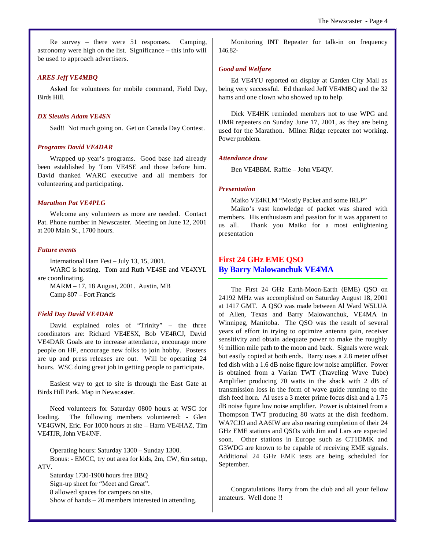Re survey – there were 51 responses. Camping, astronomy were high on the list. Significance – this info will be used to approach advertisers.

#### *ARES Jeff VE4MBQ*

Asked for volunteers for mobile command, Field Day, Birds Hill.

#### *DX Sleuths Adam VE4SN*

Sad!! Not much going on. Get on Canada Day Contest.

# *Programs David VE4DAR*

Wrapped up year's programs. Good base had already been established by Tom VE4SE and those before him. David thanked WARC executive and all members for volunteering and participating.

#### *Marathon Pat VE4PLG*

Welcome any volunteers as more are needed. Contact Pat. Phone number in Newscaster. Meeting on June 12, 2001 at 200 Main St., 1700 hours.

#### *Future events*

International Ham Fest – July 13, 15, 2001. WARC is hosting. Tom and Ruth VE4SE and VE4XYL are coordinating.

MARM – 17, 18 August, 2001. Austin, MB Camp 807 – Fort Francis

#### *Field Day David VE4DAR*

David explained roles of "Trinity" – the three coordinators are: Richard VE4ESX, Bob VE4RCJ, David VE4DAR Goals are to increase attendance, encourage more people on HF, encourage new folks to join hobby. Posters are up and press releases are out. Will be operating 24 hours. WSC doing great job in getting people to participate.

Easiest way to get to site is through the East Gate at Birds Hill Park. Map in Newscaster.

Need volunteers for Saturday 0800 hours at WSC for loading. The following members volunteered: - Glen VE4GWN, Eric. For 1000 hours at site – Harm VE4HAZ, Tim VE4TJR, John VE4JNF.

Operating hours: Saturday 1300 – Sunday 1300. Bonus: - EMCC, try out area for kids, 2m, CW, 6m setup, ATV.

Saturday 1730-1900 hours free BBQ Sign-up sheet for "Meet and Great". 8 allowed spaces for campers on site. Show of hands – 20 members interested in attending.

Monitoring INT Repeater for talk-in on frequency 146.82-

#### *Good and Welfare*

Ed VE4YU reported on display at Garden City Mall as being very successful. Ed thanked Jeff VE4MBQ and the 32 hams and one clown who showed up to help.

Dick VE4HK reminded members not to use WPG and UMR repeaters on Sunday June 17, 2001, as they are being used for the Marathon. Milner Ridge repeater not working. Power problem.

#### *Attendance draw*

Ben VE4BBM. Raffle – John VE4QV.

#### *Presentation*

Maiko VE4KLM "Mostly Packet and some IRLP"

Maiko's vast knowledge of packet was shared with members. His enthusiasm and passion for it was apparent to us all. Thank you Maiko for a most enlightening presentation

# **First 24 GHz EME QSO By Barry Malowanchuk VE4MA**

The First 24 GHz Earth-Moon-Earth (EME) QSO on 24192 MHz was accomplished on Saturday August 18, 2001 at 1417 GMT. A QSO was made between Al Ward W5LUA of Allen, Texas and Barry Malowanchuk, VE4MA in Winnipeg, Manitoba. The QSO was the result of several years of effort in trying to optimize antenna gain, receiver sensitivity and obtain adequate power to make the roughly ½ million mile path to the moon and back. Signals were weak but easily copied at both ends. Barry uses a 2.8 meter offset fed dish with a 1.6 dB noise figure low noise amplifier. Power is obtained from a Varian TWT (Traveling Wave Tube) Amplifier producing 70 watts in the shack with 2 dB of transmission loss in the form of wave guide running to the dish feed horn. Al uses a 3 meter prime focus dish and a 1.75 dB noise figure low noise amplifier. Power is obtained from a Thompson TWT producing 80 watts at the dish feedhorn. WA7CJO and AA6IW are also nearing completion of their 24 GHz EME stations and QSOs with Jim and Lars are expected soon. Other stations in Europe such as CT1DMK and G3WDG are known to be capable of receiving EME signals. Additional 24 GHz EME tests are being scheduled for September.

Congratulations Barry from the club and all your fellow amateurs. Well done !!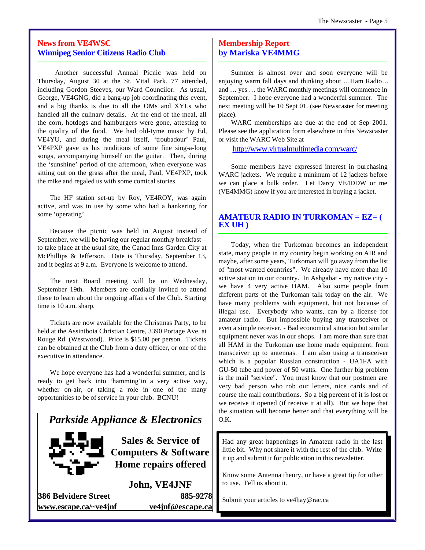# **News from VE4WSC Winnipeg Senior Citizens Radio Club**

 Another successful Annual Picnic was held on Thursday, August 30 at the St. Vital Park. 77 attended, including Gordon Steeves, our Ward Councilor. As usual, George, VE4GNG, did a bang-up job coordinating this event, and a big thanks is due to all the OMs and XYLs who handled all the culinary details. At the end of the meal, all the corn, hotdogs and hamburgers were gone, attesting to the quality of the food. We had old-tyme music by Ed, VE4YU, and during the meal itself, 'troubadour' Paul, VE4PXP gave us his renditions of some fine sing-a-long songs, accompanying himself on the guitar. Then, during the 'sunshine' period of the afternoon, when everyone was sitting out on the grass after the meal, Paul, VE4PXP, took the mike and regaled us with some comical stories.

The HF station set-up by Roy, VE4ROY, was again active, and was in use by some who had a hankering for some 'operating'.

Because the picnic was held in August instead of September, we will be having our regular monthly breakfast – to take place at the usual site, the Canad Inns Garden City at McPhillips & Jefferson. Date is Thursday, September 13, and it begins at 9 a.m. Everyone is welcome to attend.

The next Board meeting will be on Wednesday, September 19th. Members are cordially invited to attend these to learn about the ongoing affairs of the Club. Starting time is 10 a.m. sharp.

Tickets are now available for the Christmas Party, to be held at the Assiniboia Christian Centre, 3390 Portage Ave. at Rouge Rd. (Westwood). Price is \$15.00 per person. Tickets can be obtained at the Club from a duty officer, or one of the executive in attendance.

We hope everyone has had a wonderful summer, and is ready to get back into 'hamming'in a very active way, whether on-air, or taking a role in one of the many opportunities to be of service in your club. BCNU!

# *Parkside Appliance & Electronics*



**Sales & Service of Computers & Software Home repairs offered**

**John, VE4JNF 386 Belvidere Street 885-9278 www.escape.ca/~ve4jnf ve4jnf@escape.ca**

# **Membership Report by Mariska VE4MMG**

Summer is almost over and soon everyone will be enjoying warm fall days and thinking about …Ham Radio… and … yes … the WARC monthly meetings will commence in September. I hope everyone had a wonderful summer. The next meeting will be 10 Sept 01. (see Newscaster for meeting place).

WARC memberships are due at the end of Sep 2001. Please see the application form elsewhere in this Newscaster or visit the WARC Web Site at

http://www.virtualmultimedia.com/warc/

Some members have expressed interest in purchasing WARC jackets. We require a minimum of 12 jackets before we can place a bulk order. Let Darcy VE4DDW or me (VE4MMG) know if you are interested in buying a jacket.

# **AMATEUR RADIO IN TURKOMAN = EZ= ( EX UH )**

Today, when the Turkoman becomes an independent state, many people in my country begin working on AIR and maybe, after some years, Turkoman will go away from the list of "most wanted countries". We already have more than 10 active station in our country. In Ashgabat - my native city we have 4 very active HAM. Also some people from different parts of the Turkoman talk today on the air. We have many problems with equipment, but not because of illegal use. Everybody who wants, can by a license for amateur radio. But impossible buying any transceiver or even a simple receiver. - Bad economical situation but similar equipment never was in our shops. I am more than sure that all HAM in the Turkoman use home made equipment: from transceiver up to antennas. I am also using a transceiver which is a popular Russian construction - UA1FA with GU-50 tube and power of 50 watts. One further big problem is the mail "service". You must know that our postmen are very bad person who rob our letters, nice cards and of course the mail contributions. So a big percent of it is lost or we receive it opened (if receive it at all). But we hope that the situation will become better and that everything will be O.K.

Had any great happenings in Amateur radio in the last little bit. Why not share it with the rest of the club. Write it up and submit it for publication in this newsletter.

Know some Antenna theory, or have a great tip for other to use. Tell us about it.

Submit your articles to ve4hay@rac.ca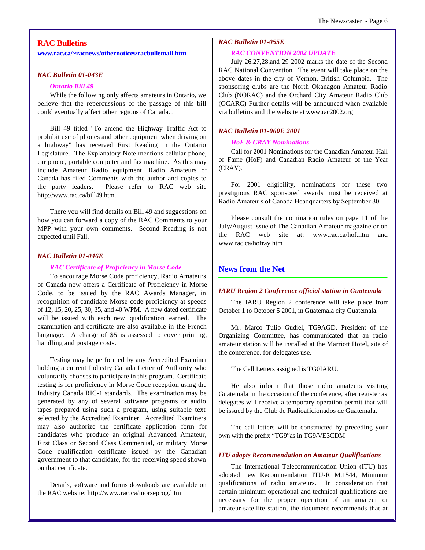# **RAC Bulletins**

**www.rac.ca/~racnews/othernotices/racbullemail.htm**

#### *RAC Bulletin 01-043E*

### *Ontario Bill 49*

While the following only affects amateurs in Ontario, we believe that the repercussions of the passage of this bill could eventually affect other regions of Canada...

Bill 49 titled "To amend the Highway Traffic Act to prohibit use of phones and other equipment when driving on a highway" has received First Reading in the Ontario Legislature. The Explanatory Note mentions cellular phone, car phone, portable computer and fax machine. As this may include Amateur Radio equipment, Radio Amateurs of Canada has filed Comments with the author and copies to the party leaders. Please refer to RAC web site http://www.rac.ca/bill49.htm.

There you will find details on Bill 49 and suggestions on how you can forward a copy of the RAC Comments to your MPP with your own comments. Second Reading is not expected until Fall.

# *RAC Bulletin 01-046E*

#### *RAC Certificate of Proficiency in Morse Code*

To encourage Morse Code proficiency, Radio Amateurs of Canada now offers a Certificate of Proficiency in Morse Code, to be issued by the RAC Awards Manager, in recognition of candidate Morse code proficiency at speeds of 12, 15, 20, 25, 30, 35, and 40 WPM. A new dated certificate will be issued with each new 'qualification' earned. The examination and certificate are also available in the French language. A charge of \$5 is assessed to cover printing, handling and postage costs.

Testing may be performed by any Accredited Examiner holding a current Industry Canada Letter of Authority who voluntarily chooses to participate in this program. Certificate testing is for proficiency in Morse Code reception using the Industry Canada RIC-1 standards. The examination may be generated by any of several software programs or audio tapes prepared using such a program, using suitable text selected by the Accredited Examiner. Accredited Examiners may also authorize the certificate application form for candidates who produce an original Advanced Amateur, First Class or Second Class Commercial, or military Morse Code qualification certificate issued by the Canadian government to that candidate, for the receiving speed shown on that certificate.

Details, software and forms downloads are available on the RAC website: http://www.rac.ca/morseprog.htm

# *RAC Bulletin 01-055E*

#### *RAC CONVENTION 2002 UPDATE*

July 26,27,28,and 29 2002 marks the date of the Second RAC National Convention. The event will take place on the above dates in the city of Vernon, British Columbia. The sponsoring clubs are the North Okanagon Amateur Radio Club (NORAC) and the Orchard City Amateur Radio Club (OCARC) Further details will be announced when available via bulletins and the website at www.rac2002.org

# *RAC Bulletin 01-060E 2001*

#### *HoF & CRAY Nominations*

Call for 2001 Nominations for the Canadian Amateur Hall of Fame (HoF) and Canadian Radio Amateur of the Year (CRAY).

For 2001 eligibility, nominations for these two prestigious RAC sponsored awards must be received at Radio Amateurs of Canada Headquarters by September 30.

Please consult the nomination rules on page 11 of the July/August issue of The Canadian Amateur magazine or on the RAC web site at: www.rac.ca/hof.htm and www.rac.ca/hofray.htm

# **News from the Net**

#### *IARU Region 2 Conference official station in Guatemala*

The IARU Region 2 conference will take place from October 1 to October 5 2001, in Guatemala city Guatemala.

Mr. Marco Tulio Gudiel, TG9AGD, President of the Organizing Committee, has communicated that an radio amateur station will be installed at the Marriott Hotel, site of the conference, for delegates use.

The Call Letters assigned is TG0IARU.

He also inform that those radio amateurs visiting Guatemala in the occasion of the conference, after register as delegates will receive a temporary operation permit that will be issued by the Club de Radioaficionados de Guatemala.

The call letters will be constructed by preceding your own with the prefix "TG9"as in TG9/VE3CDM

# *ITU adopts Recommendation on Amateur Qualifications*

The International Telecommunication Union (ITU) has adopted new Recommendation ITU-R M.1544, Minimum qualifications of radio amateurs. In consideration that certain minimum operational and technical qualifications are necessary for the proper operation of an amateur or amateur-satellite station, the document recommends that at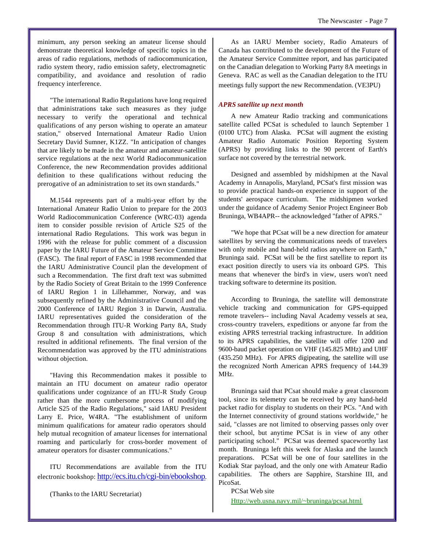minimum, any person seeking an amateur license should demonstrate theoretical knowledge of specific topics in the areas of radio regulations, methods of radiocommunication, radio system theory, radio emission safety, electromagnetic compatibility, and avoidance and resolution of radio frequency interference.

"The international Radio Regulations have long required that administrations take such measures as they judge necessary to verify the operational and technical qualifications of any person wishing to operate an amateur station," observed International Amateur Radio Union Secretary David Sumner, K1ZZ. "In anticipation of changes that are likely to be made in the amateur and amateur-satellite service regulations at the next World Radiocommunication Conference, the new Recommendation provides additional definition to these qualifications without reducing the prerogative of an administration to set its own standards."

M.1544 represents part of a multi-year effort by the International Amateur Radio Union to prepare for the 2003 World Radiocommunication Conference (WRC-03) agenda item to consider possible revision of Article S25 of the international Radio Regulations. This work was begun in 1996 with the release for public comment of a discussion paper by the IARU Future of the Amateur Service Committee (FASC). The final report of FASC in 1998 recommended that the IARU Administrative Council plan the development of such a Recommendation. The first draft text was submitted by the Radio Society of Great Britain to the 1999 Conference of IARU Region 1 in Lillehammer, Norway, and was subsequently refined by the Administrative Council and the 2000 Conference of IARU Region 3 in Darwin, Australia. IARU representatives guided the consideration of the Recommendation through ITU-R Working Party 8A, Study Group 8 and consultation with administrations, which resulted in additional refinements. The final version of the Recommendation was approved by the ITU administrations without objection.

"Having this Recommendation makes it possible to maintain an ITU document on amateur radio operator qualifications under cognizance of an ITU-R Study Group rather than the more cumbersome process of modifying Article S25 of the Radio Regulations," said IARU President Larry E. Price, W4RA. "The establishment of uniform minimum qualifications for amateur radio operators should help mutual recognition of amateur licenses for international roaming and particularly for cross-border movement of amateur operators for disaster communications."

ITU Recommendations are available from the ITU electronic bookshop: http://ecs.itu.ch/cgi-bin/ebookshop.

(Thanks to the IARU Secretariat)

As an IARU Member society, Radio Amateurs of Canada has contributed to the development of the Future of the Amateur Service Committee report, and has participated on the Canadian delegation to Working Party 8A meetings in Geneva. RAC as well as the Canadian delegation to the ITU meetings fully support the new Recommendation. (VE3PU)

# *APRS satellite up next month*

A new Amateur Radio tracking and communications satellite called PCSat is scheduled to launch September 1 (0100 UTC) from Alaska. PCSat will augment the existing Amateur Radio Automatic Position Reporting System (APRS) by providing links to the 90 percent of Earth's surface not covered by the terrestrial network.

Designed and assembled by midshipmen at the Naval Academy in Annapolis, Maryland, PCSat's first mission was to provide practical hands-on experience in support of the students' aerospace curriculum. The midshipmen worked under the guidance of Academy Senior Project Engineer Bob Bruninga, WB4APR-- the acknowledged "father of APRS."

"We hope that PCsat will be a new direction for amateur satellites by serving the communications needs of travelers with only mobile and hand-held radios anywhere on Earth," Bruninga said. PCSat will be the first satellite to report its exact position directly to users via its onboard GPS. This means that whenever the bird's in view, users won't need tracking software to determine its position.

According to Bruninga, the satellite will demonstrate vehicle tracking and communication for GPS-equipped remote travelers-- including Naval Academy vessels at sea, cross-country travelers, expeditions or anyone far from the existing APRS terrestrial tracking infrastructure. In addition to its APRS capabilities, the satellite will offer 1200 and 9600-baud packet operation on VHF (145.825 MHz) and UHF (435.250 MHz). For APRS digipeating, the satellite will use the recognized North American APRS frequency of 144.39 MHz.

Bruninga said that PCsat should make a great classroom tool, since its telemetry can be received by any hand-held packet radio for display to students on their PCs. "And with the Internet connectivity of ground stations worldwide," he said, "classes are not limited to observing passes only over their school, but anytime PCSat is in view of any other participating school." PCSat was deemed spaceworthy last month. Bruninga left this week for Alaska and the launch preparations. PCSat will be one of four satellites in the Kodiak Star payload, and the only one with Amateur Radio capabilities. The others are Sapphire, Starshine III, and PicoSat.

PCSat Web site Http://web.usna.navy.mil/~bruninga/pcsat.html